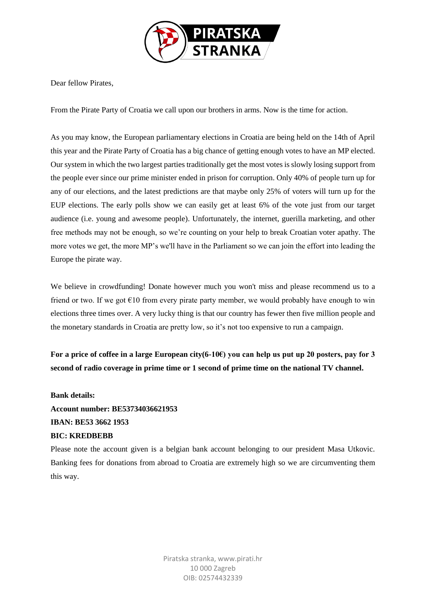

Dear fellow Pirates,

From the Pirate Party of Croatia we call upon our brothers in arms. Now is the time for action.

As you may know, the European parliamentary elections in Croatia are being held on the 14th of April this year and the Pirate Party of Croatia has a big chance of getting enough votes to have an MP elected. Our system in which the two largest parties traditionally get the most votes is slowly losing support from the people ever since our prime minister ended in prison for corruption. Only 40% of people turn up for any of our elections, and the latest predictions are that maybe only 25% of voters will turn up for the EUP elections. The early polls show we can easily get at least 6% of the vote just from our target audience (i.e. young and awesome people). Unfortunately, the internet, guerilla marketing, and other free methods may not be enough, so we're counting on your help to break Croatian voter apathy. The more votes we get, the more MP's we'll have in the Parliament so we can join the effort into leading the Europe the pirate way.

We believe in crowdfunding! Donate however much you won't miss and please recommend us to a friend or two. If we got  $\epsilon$ 10 from every pirate party member, we would probably have enough to win elections three times over. A very lucky thing is that our country has fewer then five million people and the monetary standards in Croatia are pretty low, so it's not too expensive to run a campaign.

**For a price of coffee in a large European city(6-10€) you can help us put up 20 posters, pay for 3 second of radio coverage in prime time or 1 second of prime time on the national TV channel.**

## **Bank details:**

**Account number: BE53734036621953 IBAN: BE53 3662 1953 BIC: KREDBEBB**

Please note the account given is a belgian bank account belonging to our president Masa Utkovic. Banking fees for donations from abroad to Croatia are extremely high so we are circumventing them this way.

> Piratska stranka, www.pirati.hr 10 000 Zagreb OIB: 02574432339